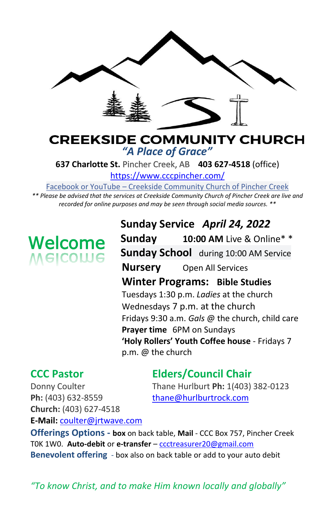

#### **CREEKSIDE COMMUNITY CHURCH** *"A Place of Grace"*

**637 Charlotte St.** Pincher Creek, AB **403 627-4518** (office)

<https://www.cccpincher.com/>

Facebook or YouTube – Creekside Community Church of Pincher Creek

*\*\* Please be advised that the services at Creekside Community Church of Pincher Creek are live and recorded for online purposes and may be seen through social media sources. \*\**

# **Welcome**<br>Melcolue

**Sunday Service** *April 24, 2022* **Sunday 10:00 AM** Live & Online\* \* **Sunday School** during 10:00 AM Service **Nursery** Open All Services **Winter Programs: Bible Studies** Tuesdays 1:30 p.m. *Ladies* at the church Wednesdays 7 p.m. at the church Fridays 9:30 a.m. *Gals* @ the church, child care **Prayer time** 6PM on Sundays **'Holy Rollers' Youth Coffee house** - Fridays 7 p.m. @ the church

### **CCC Pastor Elders/Council Chair**

Donny Coulter Thane Hurlburt **Ph:** 1(403) 382-0123

Ph: (403) 632-8559 [thane@hurlburtrock.com](mailto:thane@hurlburtrock.com) **Church:** (403) 627-4518 **E-Mail:** [coulter@jrtwave.com](mailto:coulter@jrtwave.com)

**Offerings Options - box** on back table, **Mail** - CCC Box 757, Pincher Creek T0K 1W0. **Auto-debit** or **e-transfer** – [ccctreasurer20@gmail.com](mailto:ccctreasurer20@gmail.com) **Benevolent offering** - box also on back table or add to your auto debit

*"To know Christ, and to make Him known locally and globally"*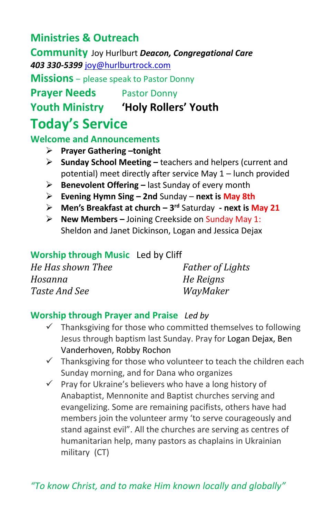#### **Ministries & Outreach**

**Community** Joy Hurlburt *Deacon, Congregational Care 403 330-5399* [joy@hurlburtrock.com](mailto:joy@hurlburtrock.com)

**Missions** – please speak to Pastor Donny

**Prayer Needs** Pastor Donny

**Youth Ministry 'Holy Rollers' Youth**

## **Today's Service**

#### **Welcome and Announcements**

- ➢ **Prayer Gathering –tonight**
- ➢ **Sunday School Meeting –** teachers and helpers (current and potential) meet directly after service May 1 – lunch provided
- ➢ **Benevolent Offering –** last Sunday of every month
- ➢ **Evening Hymn Sing – 2nd** Sunday **next is May 8th**
- ➢ **Men's Breakfast at church – 3 rd** Saturday **- next is May 21**
- ➢ **New Members –** Joining Creekside on Sunday May 1: Sheldon and Janet Dickinson, Logan and Jessica Dejax

#### **Worship through Music**Led by Cliff

| He Has shown Thee | <b>Father of Lights</b> |
|-------------------|-------------------------|
| Hosanna           | He Reigns               |
| Taste And See     | WayMaker                |

#### **Worship through Prayer and Praise** *Led by*

- $\checkmark$  Thanksgiving for those who committed themselves to following Jesus through baptism last Sunday. Pray for Logan Dejax, Ben Vanderhoven, Robby Rochon
- $\checkmark$  Thanksgiving for those who volunteer to teach the children each Sunday morning, and for Dana who organizes
- ✓ Pray for Ukraine's believers who have a long history of Anabaptist, Mennonite and Baptist churches serving and evangelizing. Some are remaining pacifists, others have had members join the volunteer army 'to serve courageously and stand against evil". All the churches are serving as centres of humanitarian help, many pastors as chaplains in Ukrainian military (CT)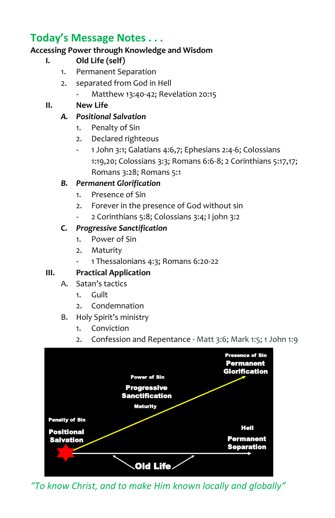#### **Today's Message Notes . . .**

#### **Accessing Power through Knowledge and Wisdom**

- **I. Old Life (self)**
	- 1. Permanent Separation
	- 2. separated from God in Hell
		- Matthew 13:40-42; Revelation 20:15

#### **II. New Life**

#### *A. Positional Salvation*

- 1. Penalty of Sin
- 2. Declared righteous
- 1 John 3:1; Galatians 4:6,7; Ephesians 2:4-6; Colossians 1:19,20; Colossians 3:3; Romans 6:6-8; 2 Corinthians 5:17,17; Romans 3:28; Romans 5:1

#### *B. Permanent Glorification*

- 1. Presence of Sin
- 2. Forever in the presence of God without sin
- 2 Corinthians 5:8; Colossians 3:4; I john 3:2

#### *C. Progressive Sanctification*

- 1. Power of Sin
- 2. Maturity
- 1 Thessalonians 4:3; Romans 6:20-22

#### **III. Practical Application**

- A. Satan's tactics
	- 1. Guilt
	- 2. Condemnation
- B. Holy Spirit's ministry
	- 1. Conviction
	- 2. Confession and Repentance Matt 3:6; Mark 1:5; 1 John 1:9



*"To know Christ, and to make Him known locally and globally"*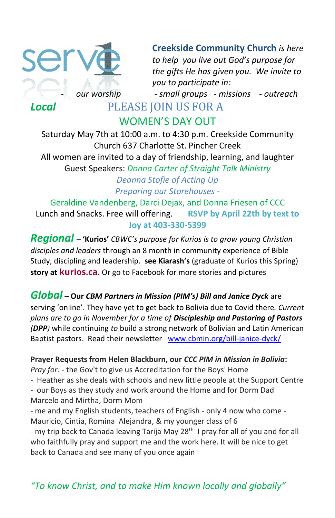

**Creekside Community Church** *is here to help you live out God's purpose for the gifts He has given you. We invite to you to participate in:*

- *our worship - small groups - missions - outreach* 

WOMEN'S DAY OUT

Saturday May 7th at 10:00 a.m. to 4:30 p.m. Creekside Community Church 637 Charlotte St. Pincher Creek All women are invited to a day of friendship, learning, and laughter Guest Speakers: *Donna Carter of Straight Talk Ministry Deanna Stofie of Acting Up Preparing our Storehouses -*

Geraldine Vandenberg, Darci Dejax, and Donna Friesen of CCC Lunch and Snacks. Free will offering. **RSVP by April 22th by text to Joy at 403-330-5399**

*Regional –* **'Kurios'** *CBWC's purpose for Kurios is to grow young Christian disciples and leaders* through an 8 month in community experience of Bible Study, discipling and leadership. **see Kiarash's** (graduate of Kurios this Spring) **story at [kurios.ca](http://www.kurios.ca/)**. Or go to Facebook for more stories and pictures

#### *Global –* **Our** *CBM Partners in Mission (PIM's) Bill and Janice Dyck* are

serving 'online'. They have yet to get back to Bolivia due to Covid there*. Current plans are to go in November for a time of Discipleship and Pastoring of Pastors (DPP)* while continuing *to* build a strong network of Bolivian and Latin American Baptist pastors. Read their newsletter [www.cbmin.org/bill-janice-dyck/](http://www.cbmin.org/bill-janice-dyck/)

**Prayer Requests from Helen Blackburn, our** *CCC PIM in Mission in Bolivia***:**

*Pray for:* - the Gov't to give us Accreditation for the Boys' Home

- Heather as she deals with schools and new little people at the Support Centre
- our Boys as they study and work around the Home and for Dorm Dad Marcelo and Mirtha, Dorm Mom

- me and my English students, teachers of English - only 4 now who come - Mauricio, Cintia, Romina Alejandra, & my younger class of 6

- my trip back to Canada leaving Tarija May 28<sup>th</sup> I pray for all of you and for all who faithfully pray and support me and the work here. It will be nice to get back to Canada and see many of you once again